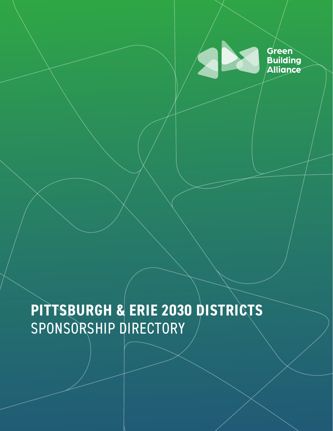

# **PITTSBURGH & ERIE 2030 DISTRICTS** SPONSORSHIP DIRECTORY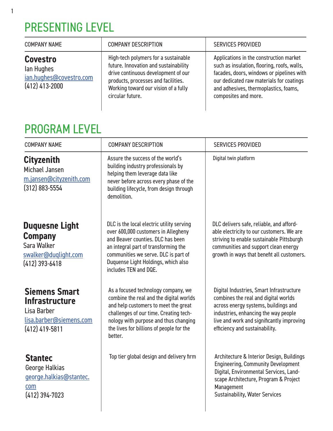### PRESENTING LEVEL

1

| <b>COMPANY NAME</b>                                                          | <b>COMPANY DESCRIPTION</b>                                                                                                                                                                                              | <b>SERVICES PROVIDED</b>                                                                                                                                                                                                                         |
|------------------------------------------------------------------------------|-------------------------------------------------------------------------------------------------------------------------------------------------------------------------------------------------------------------------|--------------------------------------------------------------------------------------------------------------------------------------------------------------------------------------------------------------------------------------------------|
| <b>Covestro</b><br>lan Hughes<br>ian.hughes@covestro.com<br>$(412)$ 413-2000 | High-tech polymers for a sustainable<br>future. Innovation and sustainability<br>drive continuous development of our<br>products, processes and facilities.<br>Working toward our vision of a fully<br>circular future. | Applications in the construction market<br>such as insulation, flooring, roofs, walls,<br>facades, doors, windows or pipelines with<br>our dedicated raw materials for coatings<br>and adhesives, thermoplastics, foams,<br>composites and more. |

#### PROGRAM LEVEL

| <b>COMPANY NAME</b>                                                                                         | <b>COMPANY DESCRIPTION</b>                                                                                                                                                                                                                                            | <b>SERVICES PROVIDED</b>                                                                                                                                                                                                                        |
|-------------------------------------------------------------------------------------------------------------|-----------------------------------------------------------------------------------------------------------------------------------------------------------------------------------------------------------------------------------------------------------------------|-------------------------------------------------------------------------------------------------------------------------------------------------------------------------------------------------------------------------------------------------|
| <b>Cityzenith</b><br>Michael Jansen<br>m.jansen@cityzenith.com<br>$(312)$ 883-5554                          | Assure the success of the world's<br>building industry professionals by<br>helping them leverage data like<br>never before across every phase of the<br>building lifecycle, from design through<br>demolition.                                                        | Digital twin platform                                                                                                                                                                                                                           |
| <b>Duquesne Light</b><br><b>Company</b><br>Sara Walker<br>swalker@duqlight.com<br>$(412)$ 393-6418          | DLC is the local electric utility serving<br>over 600,000 customers in Allegheny<br>and Beaver counties. DLC has been<br>an integral part of transforming the<br>communities we serve. DLC is part of<br>Duquense Light Holdings, which also<br>includes TEN and DQE. | DLC delivers safe, reliable, and afford-<br>able electricity to our customers. We are<br>striving to enable sustainable Pittsburgh<br>communities and support clean energy<br>growth in ways that benefit all customers.                        |
| <b>Siemens Smart</b><br><b>Infrastructure</b><br>Lisa Barber<br>lisa.barber@siemens.com<br>$(412)$ 419-5811 | As a focused technology company, we<br>combine the real and the digital worlds<br>and help customers to meet the great<br>challenges of our time. Creating tech-<br>nology with purpose and thus changing<br>the lives for billions of people for the<br>better.      | Digital Industries, Smart Infrastructure<br>combines the real and digital worlds<br>across energy systems, buildings and<br>industries, enhancing the way people<br>live and work and significantly improving<br>efficiency and sustainability. |
| <b>Stantec</b><br>George Halkias<br>george.halkias@stantec.<br>com<br>$(412)$ 394-7023                      | Top tier global design and delivery firm                                                                                                                                                                                                                              | Architecture & Interior Design, Buildings<br><b>Engineering, Community Development</b><br>Digital, Environmental Services, Land-<br>scape Architecture, Program & Project<br>Management<br><b>Sustainability, Water Services</b>                |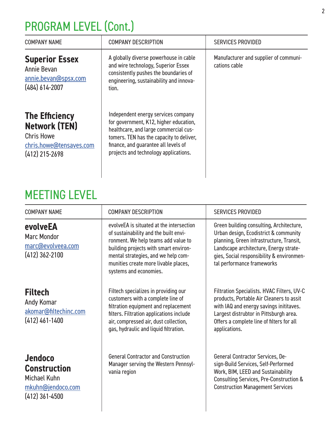## PROGRAM LEVEL (Cont.)

| <b>COMPANY NAME</b>                                                                                               | <b>COMPANY DESCRIPTION</b>                                                                                                                                                                                                                          | <b>SERVICES PROVIDED</b>                               |
|-------------------------------------------------------------------------------------------------------------------|-----------------------------------------------------------------------------------------------------------------------------------------------------------------------------------------------------------------------------------------------------|--------------------------------------------------------|
| <b>Superior Essex</b><br>Annie Bevan<br>annie.bevan@spsx.com<br>$(484) 614 - 2007$                                | A globally diverse powerhouse in cable<br>and wire technology, Superior Essex<br>consistently pushes the boundaries of<br>engineering, sustainability and innova-<br>tion.                                                                          | Manufacturer and supplier of communi-<br>cations cable |
| <b>The Efficiency</b><br><b>Network (TEN)</b><br><b>Chris Howe</b><br>chris.howe@tensaves.com<br>$(412)$ 215-2698 | Independent energy services company<br>for government, K12, higher education,<br>healthcare, and large commercial cus-<br>tomers. TEN has the capacity to deliver,<br>finance, and guarantee all levels of<br>projects and technology applications. |                                                        |

#### MEETING LEVEL

| <b>COMPANY NAME</b>                                                                            | <b>COMPANY DESCRIPTION</b>                                                                                                                                                                                                                                                 | <b>SERVICES PROVIDED</b>                                                                                                                                                                                                                           |
|------------------------------------------------------------------------------------------------|----------------------------------------------------------------------------------------------------------------------------------------------------------------------------------------------------------------------------------------------------------------------------|----------------------------------------------------------------------------------------------------------------------------------------------------------------------------------------------------------------------------------------------------|
| evolveEA<br><b>Marc Mondor</b><br>marc@evolveea.com<br>$(412)$ 362-2100                        | evolveEA is situated at the intersection<br>of sustainability and the built envi-<br>ronment. We help teams add value to<br>building projects with smart environ-<br>mental strategies, and we help com-<br>munities create more livable places,<br>systems and economies. | Green building consulting, Architecture,<br>Urban design, Ecodistrict & community<br>planning, Green infrastructure, Transit,<br>Landscape architecture, Energy strate-<br>gies, Social responsibility & environmen-<br>tal performance frameworks |
| <b>Filtech</b><br>Andy Komar<br>akomar@filtechinc.com<br>$(412)$ 461-1400                      | Filtech specializes in providing our<br>customers with a complete line of<br>filtration equipment and replacement<br>filters. Filtration applications include<br>air, compressed air, dust collection,<br>gas, hydraulic and liquid filtration.                            | Filtration Specialists. HVAC Filters, UV-C<br>products, Portable Air Cleaners to assit<br>with IAQ and energy savings inititaves.<br>Largest distrubtor in Pittsburgh area.<br>Offers a complete line of filters for all<br>applications.          |
| <b>Jendoco</b><br><b>Construction</b><br>Michael Kuhn<br>mkuhn@jendoco.com<br>$(412)$ 361-4500 | <b>General Contractor and Construction</b><br>Manager serving the Western Pennsyl-<br>vania region                                                                                                                                                                         | <b>General Contractor Services, De-</b><br>sign-Build Services, Self-Performed<br>Work, BIM, LEED and Sustainability<br><b>Consulting Services, Pre-Construction &amp;</b><br><b>Construction Management Services</b>                              |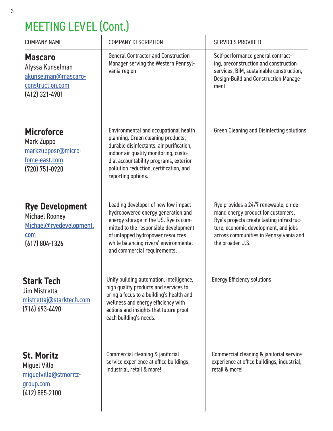## MEETING LEVEL (Cont.)

| <b>COMPANY NAME</b>                                                                                   | <b>COMPANY DESCRIPTION</b>                                                                                                                                                                                                                                                  | <b>SERVICES PROVIDED</b>                                                                                                                                                                                                       |
|-------------------------------------------------------------------------------------------------------|-----------------------------------------------------------------------------------------------------------------------------------------------------------------------------------------------------------------------------------------------------------------------------|--------------------------------------------------------------------------------------------------------------------------------------------------------------------------------------------------------------------------------|
| <b>Mascaro</b><br>Alyssa Kunselman<br>akunselman@mascaro-<br>construction.com<br>$(412)$ 321-4901     | <b>General Contractor and Construction</b><br>Manager serving the Western Pennsyl-<br>vania region                                                                                                                                                                          | Self-performance general contract-<br>ing, preconstruction and construction<br>services, BIM, sustainable construction,<br>Design-Build and Construction Manage-<br>ment                                                       |
| <b>Microforce</b><br>Mark Zuppo<br>markzupposr@micro-<br>force-east.com<br>(720) 751-0920             | Environmental and occupational health<br>planning. Green cleaning products,<br>durable disinfectants, air purification,<br>indoor air quality monitoring, custo-<br>dial accountability programs, exterior<br>pollution reduction, certification, and<br>reporting options. | <b>Green Cleaning and Disinfecting solutions</b>                                                                                                                                                                               |
| <b>Rye Development</b><br><b>Michael Rooney</b><br>Michael@ryedevelopment.<br>com<br>$(617)$ 804-1326 | Leading developer of new low impact<br>hydropowered energy generation and<br>energy storage in the US. Rye is com-<br>mitted to the responsible development<br>of untapped hydropower resources<br>while balancing rivers' environmental<br>and commercial requirements.    | Rye provides a 24/7 renewable, on-de-<br>mand energy product for customers.<br>Rye's projects create lasting infrastruc-<br>ture, economic development, and jobs<br>across communities in Pennsylvania and<br>the broader U.S. |
| <b>Stark Tech</b><br>Jim Mistretta<br>mistrettaj@starktech.com<br>$(716) 693 - 4490$                  | Unify building automation, intelligence,<br>high quality products and services to<br>bring a focus to a building's health and<br>wellness and energy efficiency with<br>actions and insights that future proof<br>each building's needs.                                    | <b>Energy Efficiency solutions</b>                                                                                                                                                                                             |
| <b>St. Moritz</b><br><b>Miguel Villa</b><br>miguelvilla@stmoritz-<br>group.com<br>$(412)$ 885-2100    | Commercial cleaning & janitorial<br>service experience at office buildings,<br>industrial, retail & more!                                                                                                                                                                   | Commercial cleaning & janitorial service<br>experience at office buildings, industrial,<br>retail & more!                                                                                                                      |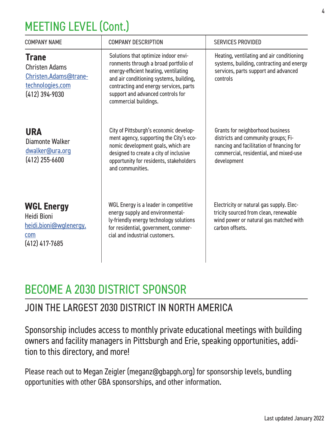## MEETING LEVEL (Cont.)

| <b>COMPANY NAME</b>                                                                                    | <b>COMPANY DESCRIPTION</b>                                                                                                                                                                                                                                                | <b>SERVICES PROVIDED</b>                                                                                                                                                      |
|--------------------------------------------------------------------------------------------------------|---------------------------------------------------------------------------------------------------------------------------------------------------------------------------------------------------------------------------------------------------------------------------|-------------------------------------------------------------------------------------------------------------------------------------------------------------------------------|
| <b>Trane</b><br><b>Christen Adams</b><br>Christen.Adams@trane-<br>technologies.com<br>$(412)$ 394-9030 | Solutions that optimize indoor envi-<br>ronments through a broad portfolio of<br>energy-efficient heating, ventilating<br>and air conditioning systems, building,<br>contracting and energy services, parts<br>support and advanced controls for<br>commercial buildings. | Heating, ventilating and air conditioning<br>systems, building, contracting and energy<br>services, parts support and advanced<br>controls                                    |
| <b>URA</b><br>Diamonte Walker<br>dwalker@ura.org<br>$(412)$ 255-6600                                   | City of Pittsburgh's economic develop-<br>ment agency, supporting the City's eco-<br>nomic development goals, which are<br>designed to create a city of inclusive<br>opportunity for residents, stakeholders<br>and communities.                                          | Grants for neighborhood business<br>districts and community groups; Fi-<br>nancing and facilitation of financing for<br>commercial, residential, and mixed-use<br>development |
| <b>WGL Energy</b><br>Heidi Bioni<br>heidi.bioni@wglenergy.<br>com<br>$(412)$ 417-7685                  | WGL Energy is a leader in competitive<br>energy supply and environmental-<br>ly-friendly energy technology solutions<br>for residential, government, commer-<br>cial and industrial customers.                                                                            | Electricity or natural gas supply. Elec-<br>tricity sourced from clean, renewable<br>wind power or natural gas matched with<br>carbon offsets.                                |

### BECOME A 2030 DISTRICT SPONSOR

#### JOIN THE LARGEST 2030 DISTRICT IN NORTH AMERICA

Sponsorship includes access to monthly private educational meetings with building owners and facility managers in Pittsburgh and Erie, speaking opportunities, addition to this directory, and more!

Please reach out to Megan Zeigler (meganz@gbapgh.org) for sponsorship levels, bundling opportunities with other GBA sponsorships, and other information.